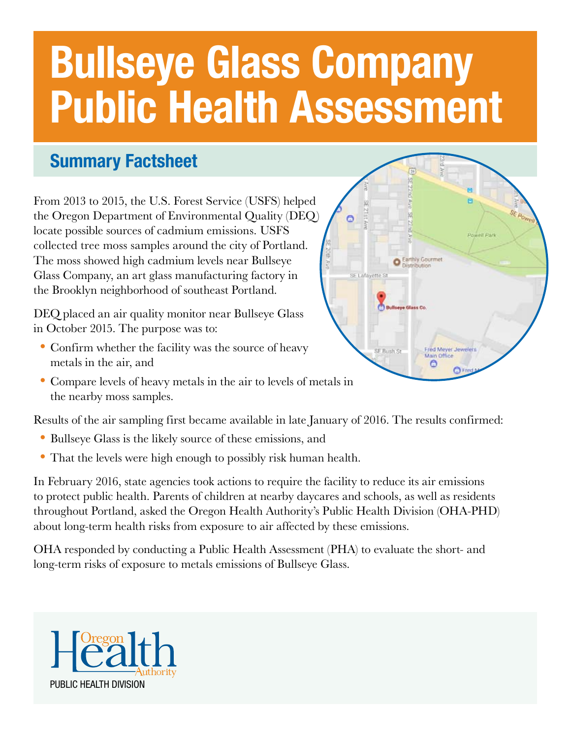# Bullseye Glass Company Public Health Assessment

### Summary Factsheet

From 2013 to 2015, the U.S. Forest Service (USFS) helped the Oregon Department of Environmental Quality (DEQ) locate possible sources of cadmium emissions. USFS collected tree moss samples around the city of Portland. The moss showed high cadmium levels near Bullseye Glass Company, an art glass manufacturing factory in the Brooklyn neighborhood of southeast Portland.

DEQ placed an air quality monitor near Bullseye Glass in October 2015. The purpose was to:

- Confirm whether the facility was the source of heavy metals in the air, and
- Compare levels of heavy metals in the air to levels of metals in the nearby moss samples.

Results of the air sampling first became available in late January of 2016. The results confirmed:

- Bullseye Glass is the likely source of these emissions, and
- That the levels were high enough to possibly risk human health.

In February 2016, state agencies took actions to require the facility to reduce its air emissions to protect public health. Parents of children at nearby daycares and schools, as well as residents throughout Portland, asked the Oregon Health Authority's Public Health Division (OHA-PHD) about long-term health risks from exposure to air affected by these emissions.

OHA responded by conducting a Public Health Assessment (PHA) to evaluate the short- and long-term risks of exposure to metals emissions of Bullseye Glass.



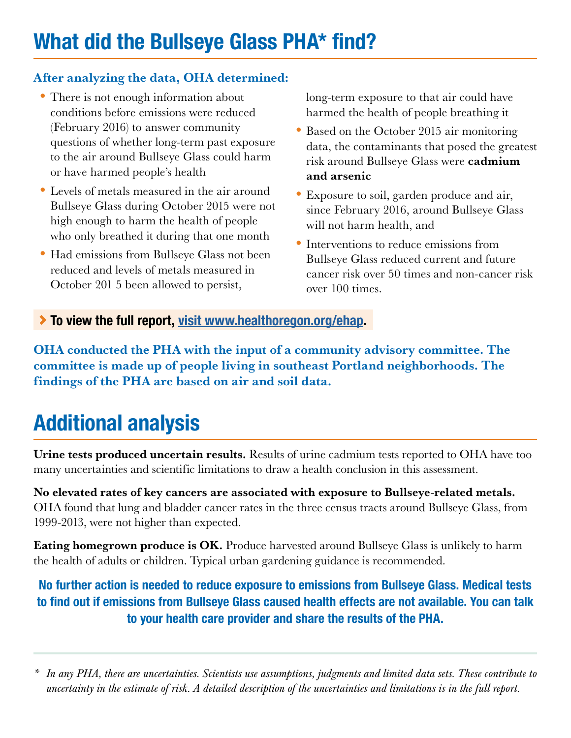#### After analyzing the data, OHA determined:

- There is not enough information about conditions before emissions were reduced (February 2016) to answer community questions of whether long-term past exposure to the air around Bullseye Glass could harm or have harmed people's health
- •Levels of metals measured in the air around Bullseye Glass during October 2015 were not high enough to harm the health of people who only breathed it during that one month
- Had emissions from Bullseye Glass not been reduced and levels of metals measured in October 201 5 been allowed to persist,

long-term exposure to that air could have harmed the health of people breathing it

- Based on the October 2015 air monitoring data, the contaminants that posed the greatest risk around Bullseye Glass were cadmium and arsenic
- •Exposure to soil, garden produce and air, since February 2016, around Bullseye Glass will not harm health, and
- Interventions to reduce emissions from Bullseye Glass reduced current and future cancer risk over 50 times and non-cancer risk over 100 times.

To view the full report, [visit www.healthoregon.org/ehap.](http://visit www.healthoregon.org/ehap)

OHA conducted the PHA with the input of a community advisory committee. The committee is made up of people living in southeast Portland neighborhoods. The findings of the PHA are based on air and soil data.

# Additional analysis

Urine tests produced uncertain results. Results of urine cadmium tests reported to OHA have too many uncertainties and scientific limitations to draw a health conclusion in this assessment.

No elevated rates of key cancers are associated with exposure to Bullseye-related metals. OHA found that lung and bladder cancer rates in the three census tracts around Bullseye Glass, from 1999-2013, were not higher than expected.

Eating homegrown produce is OK. Produce harvested around Bullseye Glass is unlikely to harm the health of adults or children. Typical urban gardening guidance is recommended.

No further action is needed to reduce exposure to emissions from Bullseye Glass. Medical tests to find out if emissions from Bullseye Glass caused health effects are not available. You can talk to your health care provider and share the results of the PHA.

*\* In any PHA, there are uncertainties. Scientists use assumptions, judgments and limited data sets. These contribute to uncertainty in the estimate of risk. A detailed description of the uncertainties and limitations is in the full report.*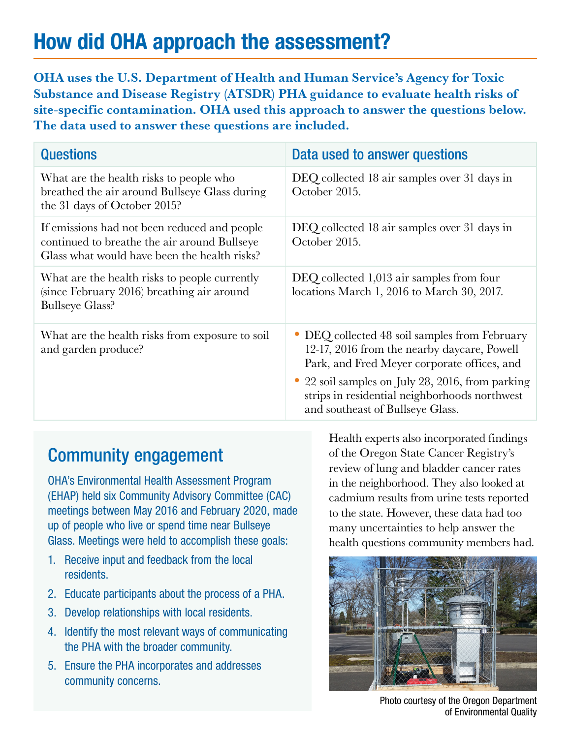## How did OHA approach the assessment?

OHA uses the U.S. Department of Health and Human Service's Agency for Toxic Substance and Disease Registry (ATSDR) PHA guidance to evaluate health risks of site-specific contamination. OHA used this approach to answer the questions below. The data used to answer these questions are included.

| <b>Questions</b>                                                                                                                             | Data used to answer questions                                                                                                               |
|----------------------------------------------------------------------------------------------------------------------------------------------|---------------------------------------------------------------------------------------------------------------------------------------------|
| What are the health risks to people who<br>breathed the air around Bullseye Glass during<br>the 31 days of October 2015?                     | DEQ collected 18 air samples over 31 days in<br>October 2015.                                                                               |
| If emissions had not been reduced and people<br>continued to breathe the air around Bullseye<br>Glass what would have been the health risks? | DEQ collected 18 air samples over 31 days in<br>October 2015.                                                                               |
| What are the health risks to people currently<br>(since February 2016) breathing air around<br><b>Bullseye Glass?</b>                        | DEQ collected 1,013 air samples from four<br>locations March 1, 2016 to March 30, 2017.                                                     |
| What are the health risks from exposure to soil<br>and garden produce?                                                                       | • DEQ collected 48 soil samples from February<br>12-17, 2016 from the nearby daycare, Powell<br>Park, and Fred Meyer corporate offices, and |
|                                                                                                                                              | 22 soil samples on July 28, 2016, from parking<br>strips in residential neighborhoods northwest<br>and southeast of Bullseye Glass.         |

### Community engagement

OHA's Environmental Health Assessment Program (EHAP) held six Community Advisory Committee (CAC) meetings between May 2016 and February 2020, made up of people who live or spend time near Bullseye Glass. Meetings were held to accomplish these goals:

- 1. Receive input and feedback from the local residents.
- 2. Educate participants about the process of a PHA.
- 3. Develop relationships with local residents.
- 4. Identify the most relevant ways of communicating the PHA with the broader community.
- 5. Ensure the PHA incorporates and addresses community concerns.

Health experts also incorporated findings of the Oregon State Cancer Registry's review of lung and bladder cancer rates in the neighborhood. They also looked at cadmium results from urine tests reported to the state. However, these data had too many uncertainties to help answer the health questions community members had.



Photo courtesy of the Oregon Department of Environmental Quality